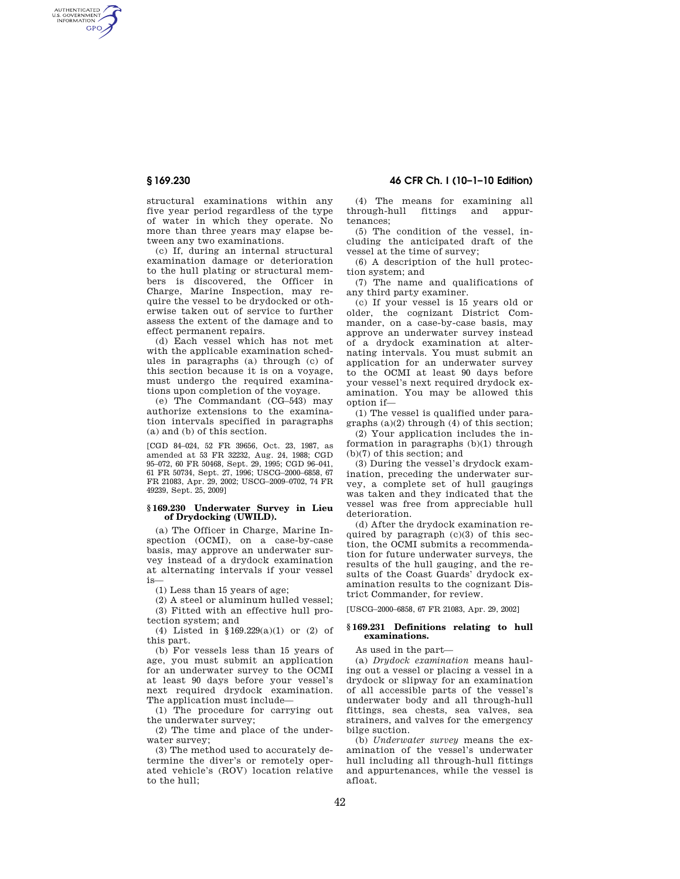AUTHENTICATED<br>U.S. GOVERNMENT<br>INFORMATION **GPO** 

> structural examinations within any five year period regardless of the type of water in which they operate. No more than three years may elapse between any two examinations.

> (c) If, during an internal structural examination damage or deterioration to the hull plating or structural members is discovered, the Officer in Charge, Marine Inspection, may require the vessel to be drydocked or otherwise taken out of service to further assess the extent of the damage and to effect permanent repairs.

> (d) Each vessel which has not met with the applicable examination schedules in paragraphs (a) through (c) of this section because it is on a voyage, must undergo the required examinations upon completion of the voyage.

> (e) The Commandant (CG–543) may authorize extensions to the examination intervals specified in paragraphs (a) and (b) of this section.

> [CGD 84–024, 52 FR 39656, Oct. 23, 1987, as amended at 53 FR 32232, Aug. 24, 1988; CGD 95–072, 60 FR 50468, Sept. 29, 1995; CGD 96–041, 61 FR 50734, Sept. 27, 1996; USCG–2000–6858, 67 FR 21083, Apr. 29, 2002; USCG–2009–0702, 74 FR 49239, Sept. 25, 2009]

## **§ 169.230 Underwater Survey in Lieu of Drydocking (UWILD).**

(a) The Officer in Charge, Marine Inspection (OCMI), on a case-by-case basis, may approve an underwater survey instead of a drydock examination at alternating intervals if your vessel is—

(1) Less than 15 years of age;

(2) A steel or aluminum hulled vessel; (3) Fitted with an effective hull protection system; and

(4) Listed in §169.229(a)(1) or (2) of this part.

(b) For vessels less than 15 years of age, you must submit an application for an underwater survey to the OCMI at least 90 days before your vessel's next required drydock examination. The application must include—

(1) The procedure for carrying out the underwater survey;

(2) The time and place of the underwater survey;

(3) The method used to accurately determine the diver's or remotely operated vehicle's (ROV) location relative to the hull;

(4) The means for examining all through-hull fittings and appur-

tenances; (5) The condition of the vessel, including the anticipated draft of the vessel at the time of survey;

(6) A description of the hull protection system; and

(7) The name and qualifications of any third party examiner.

(c) If your vessel is 15 years old or older, the cognizant District Commander, on a case-by-case basis, may approve an underwater survey instead of a drydock examination at alternating intervals. You must submit an application for an underwater survey to the OCMI at least 90 days before your vessel's next required drydock examination. You may be allowed this option if—

(1) The vessel is qualified under paragraphs (a)(2) through (4) of this section;

(2) Your application includes the information in paragraphs (b)(1) through (b)(7) of this section; and

(3) During the vessel's drydock examination, preceding the underwater survey, a complete set of hull gaugings was taken and they indicated that the vessel was free from appreciable hull deterioration.

(d) After the drydock examination required by paragraph  $(c)(3)$  of this section, the OCMI submits a recommendation for future underwater surveys, the results of the hull gauging, and the results of the Coast Guards' drydock examination results to the cognizant District Commander, for review.

[USCG–2000–6858, 67 FR 21083, Apr. 29, 2002]

## **§ 169.231 Definitions relating to hull examinations.**

As used in the part—

(a) *Drydock examination* means hauling out a vessel or placing a vessel in a drydock or slipway for an examination of all accessible parts of the vessel's underwater body and all through-hull fittings, sea chests, sea valves, sea strainers, and valves for the emergency bilge suction.

(b) *Underwater survey* means the examination of the vessel's underwater hull including all through-hull fittings and appurtenances, while the vessel is afloat.

# **§ 169.230 46 CFR Ch. I (10–1–10 Edition)**